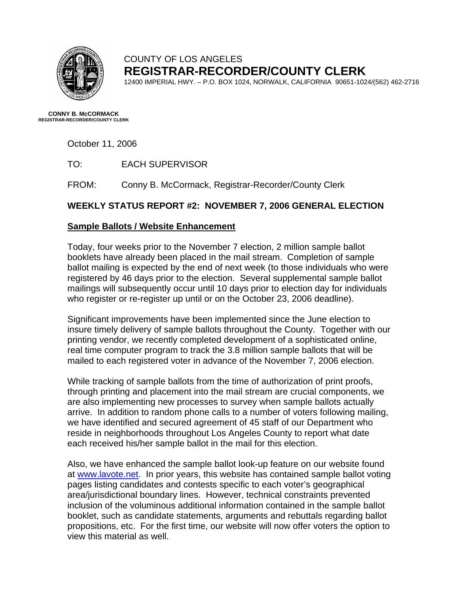

## COUNTY OF LOS ANGELES **REGISTRAR-RECORDER/COUNTY CLERK**

12400 IMPERIAL HWY. – P.O. BOX 1024, NORWALK, CALIFORNIA 90651-1024/(562) 462-2716

**CONNY B. McCORMACK REGISTRAR-RECORDER/COUNTY CLERK** 

October 11, 2006

TO: EACH SUPERVISOR

FROM: Conny B. McCormack, Registrar-Recorder/County Clerk

## **WEEKLY STATUS REPORT #2: NOVEMBER 7, 2006 GENERAL ELECTION**

### **Sample Ballots / Website Enhancement**

Today, four weeks prior to the November 7 election, 2 million sample ballot booklets have already been placed in the mail stream. Completion of sample ballot mailing is expected by the end of next week (to those individuals who were registered by 46 days prior to the election. Several supplemental sample ballot mailings will subsequently occur until 10 days prior to election day for individuals who register or re-register up until or on the October 23, 2006 deadline).

Significant improvements have been implemented since the June election to insure timely delivery of sample ballots throughout the County. Together with our printing vendor, we recently completed development of a sophisticated online, real time computer program to track the 3.8 million sample ballots that will be mailed to each registered voter in advance of the November 7, 2006 election.

While tracking of sample ballots from the time of authorization of print proofs, through printing and placement into the mail stream are crucial components, we are also implementing new processes to survey when sample ballots actually arrive. In addition to random phone calls to a number of voters following mailing, we have identified and secured agreement of 45 staff of our Department who reside in neighborhoods throughout Los Angeles County to report what date each received his/her sample ballot in the mail for this election.

Also, we have enhanced the sample ballot look-up feature on our website found at [www.lavote.net.](http://www.lavote.net/) In prior years, this website has contained sample ballot voting pages listing candidates and contests specific to each voter's geographical area/jurisdictional boundary lines. However, technical constraints prevented inclusion of the voluminous additional information contained in the sample ballot booklet, such as candidate statements, arguments and rebuttals regarding ballot propositions, etc. For the first time, our website will now offer voters the option to view this material as well.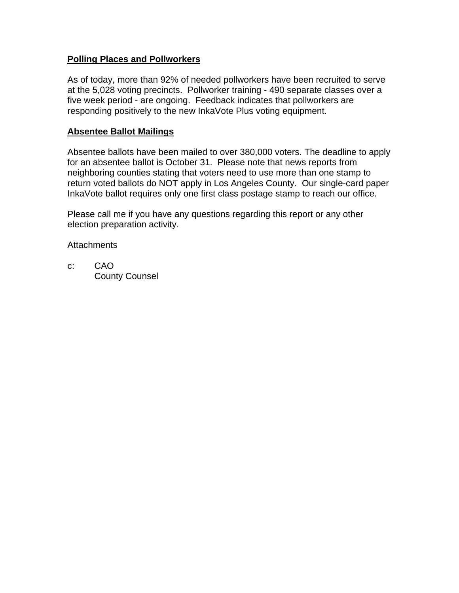#### **Polling Places and Pollworkers**

As of today, more than 92% of needed pollworkers have been recruited to serve at the 5,028 voting precincts. Pollworker training - 490 separate classes over a five week period - are ongoing. Feedback indicates that pollworkers are responding positively to the new InkaVote Plus voting equipment.

#### **Absentee Ballot Mailings**

Absentee ballots have been mailed to over 380,000 voters. The deadline to apply for an absentee ballot is October 31. Please note that news reports from neighboring counties stating that voters need to use more than one stamp to return voted ballots do NOT apply in Los Angeles County. Our single-card paper InkaVote ballot requires only one first class postage stamp to reach our office.

Please call me if you have any questions regarding this report or any other election preparation activity.

**Attachments** 

c: CAO County Counsel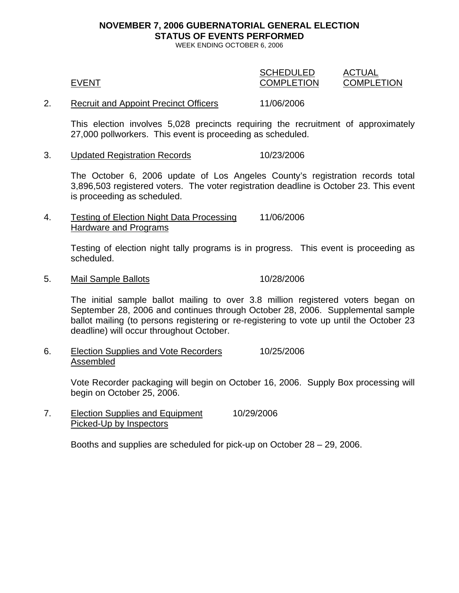# **NOVEMBER 7, 2006 GUBERNATORIAL GENERAL ELECTION STATUS OF EVENTS PERFORMED**

WEEK ENDING OCTOBER 6, 2006

| <b>EVENT</b>                          | <b>SCHEDULED</b><br><b>COMPLETION</b> | ACTUAL<br><b>COMPLETION</b> |
|---------------------------------------|---------------------------------------|-----------------------------|
| Recruit and Appoint Precinct Officers | 11/06/2006                            |                             |

This election involves 5,028 precincts requiring the recruitment of approximately 27,000 pollworkers. This event is proceeding as scheduled.

3. Updated Registration Records 10/23/2006

The October 6, 2006 update of Los Angeles County's registration records total 3,896,503 registered voters. The voter registration deadline is October 23. This event is proceeding as scheduled.

4. Testing of Election Night Data Processing 11/06/2006 Hardware and Programs

> Testing of election night tally programs is in progress. This event is proceeding as scheduled.

5. Mail Sample Ballots 10/28/2006

The initial sample ballot mailing to over 3.8 million registered voters began on September 28, 2006 and continues through October 28, 2006. Supplemental sample ballot mailing (to persons registering or re-registering to vote up until the October 23 deadline) will occur throughout October.

6. Election Supplies and Vote Recorders 10/25/2006 Assembled

> Vote Recorder packaging will begin on October 16, 2006. Supply Box processing will begin on October 25, 2006.

7. Election Supplies and Equipment 10/29/2006 Picked-Up by Inspectors

Booths and supplies are scheduled for pick-up on October 28 – 29, 2006.